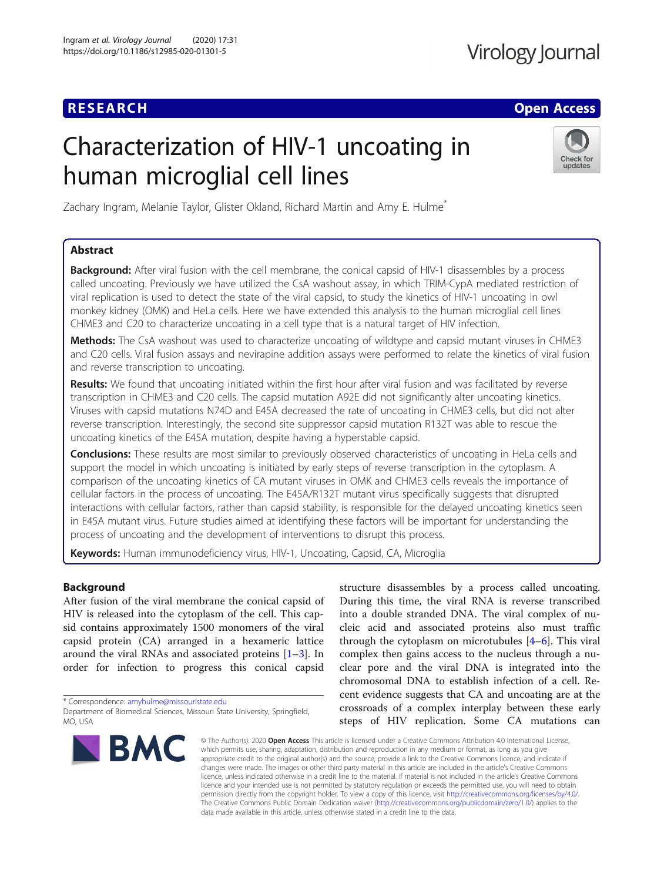## **RESEARCH CHE Open Access**

# Characterization of HIV-1 uncoating in human microglial cell lines



Zachary Ingram, Melanie Taylor, Glister Okland, Richard Martin and Amy E. Hulme<sup>\*</sup>

### Abstract

**Background:** After viral fusion with the cell membrane, the conical capsid of HIV-1 disassembles by a process called uncoating. Previously we have utilized the CsA washout assay, in which TRIM-CypA mediated restriction of viral replication is used to detect the state of the viral capsid, to study the kinetics of HIV-1 uncoating in owl monkey kidney (OMK) and HeLa cells. Here we have extended this analysis to the human microglial cell lines CHME3 and C20 to characterize uncoating in a cell type that is a natural target of HIV infection.

Methods: The CsA washout was used to characterize uncoating of wildtype and capsid mutant viruses in CHME3 and C20 cells. Viral fusion assays and nevirapine addition assays were performed to relate the kinetics of viral fusion and reverse transcription to uncoating.

Results: We found that uncoating initiated within the first hour after viral fusion and was facilitated by reverse transcription in CHME3 and C20 cells. The capsid mutation A92E did not significantly alter uncoating kinetics. Viruses with capsid mutations N74D and E45A decreased the rate of uncoating in CHME3 cells, but did not alter reverse transcription. Interestingly, the second site suppressor capsid mutation R132T was able to rescue the uncoating kinetics of the E45A mutation, despite having a hyperstable capsid.

**Conclusions:** These results are most similar to previously observed characteristics of uncoating in HeLa cells and support the model in which uncoating is initiated by early steps of reverse transcription in the cytoplasm. A comparison of the uncoating kinetics of CA mutant viruses in OMK and CHME3 cells reveals the importance of cellular factors in the process of uncoating. The E45A/R132T mutant virus specifically suggests that disrupted interactions with cellular factors, rather than capsid stability, is responsible for the delayed uncoating kinetics seen in E45A mutant virus. Future studies aimed at identifying these factors will be important for understanding the process of uncoating and the development of interventions to disrupt this process.

Keywords: Human immunodeficiency virus, HIV-1, Uncoating, Capsid, CA, Microglia

### Background

After fusion of the viral membrane the conical capsid of HIV is released into the cytoplasm of the cell. This capsid contains approximately 1500 monomers of the viral capsid protein (CA) arranged in a hexameric lattice around the viral RNAs and associated proteins [\[1](#page-10-0)–[3](#page-10-0)]. In order for infection to progress this conical capsid

\* Correspondence: [amyhulme@missouristate.edu](mailto:amyhulme@missouristate.edu)

Department of Biomedical Sciences, Missouri State University, Springfield, MO, USA



structure disassembles by a process called uncoating. During this time, the viral RNA is reverse transcribed into a double stranded DNA. The viral complex of nucleic acid and associated proteins also must traffic through the cytoplasm on microtubules  $[4-6]$  $[4-6]$  $[4-6]$ . This viral complex then gains access to the nucleus through a nuclear pore and the viral DNA is integrated into the chromosomal DNA to establish infection of a cell. Recent evidence suggests that CA and uncoating are at the crossroads of a complex interplay between these early steps of HIV replication. Some CA mutations can

© The Author(s), 2020 **Open Access** This article is licensed under a Creative Commons Attribution 4.0 International License, which permits use, sharing, adaptation, distribution and reproduction in any medium or format, as long as you give appropriate credit to the original author(s) and the source, provide a link to the Creative Commons licence, and indicate if changes were made. The images or other third party material in this article are included in the article's Creative Commons licence, unless indicated otherwise in a credit line to the material. If material is not included in the article's Creative Commons licence and your intended use is not permitted by statutory regulation or exceeds the permitted use, you will need to obtain permission directly from the copyright holder. To view a copy of this licence, visit [http://creativecommons.org/licenses/by/4.0/.](http://creativecommons.org/licenses/by/4.0/) The Creative Commons Public Domain Dedication waiver [\(http://creativecommons.org/publicdomain/zero/1.0/](http://creativecommons.org/publicdomain/zero/1.0/)) applies to the data made available in this article, unless otherwise stated in a credit line to the data.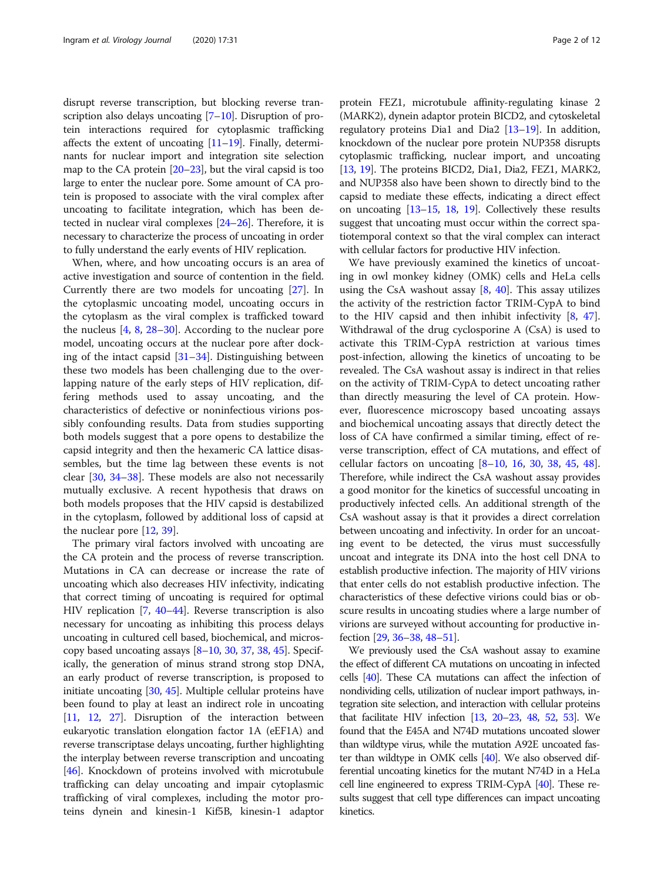disrupt reverse transcription, but blocking reverse transcription also delays uncoating  $[7-10]$  $[7-10]$  $[7-10]$  $[7-10]$ . Disruption of protein interactions required for cytoplasmic trafficking affects the extent of uncoating  $[11-19]$  $[11-19]$  $[11-19]$ . Finally, determinants for nuclear import and integration site selection map to the CA protein [\[20](#page-10-0)–[23](#page-10-0)], but the viral capsid is too large to enter the nuclear pore. Some amount of CA protein is proposed to associate with the viral complex after uncoating to facilitate integration, which has been detected in nuclear viral complexes [\[24](#page-10-0)–[26](#page-10-0)]. Therefore, it is necessary to characterize the process of uncoating in order to fully understand the early events of HIV replication.

When, where, and how uncoating occurs is an area of active investigation and source of contention in the field. Currently there are two models for uncoating [\[27\]](#page-10-0). In the cytoplasmic uncoating model, uncoating occurs in the cytoplasm as the viral complex is trafficked toward the nucleus [\[4](#page-10-0), [8,](#page-10-0) [28](#page-10-0)–[30\]](#page-10-0). According to the nuclear pore model, uncoating occurs at the nuclear pore after docking of the intact capsid  $[31-34]$  $[31-34]$  $[31-34]$  $[31-34]$  $[31-34]$ . Distinguishing between these two models has been challenging due to the overlapping nature of the early steps of HIV replication, differing methods used to assay uncoating, and the characteristics of defective or noninfectious virions possibly confounding results. Data from studies supporting both models suggest that a pore opens to destabilize the capsid integrity and then the hexameric CA lattice disassembles, but the time lag between these events is not clear [[30,](#page-10-0) [34](#page-10-0)–[38](#page-11-0)]. These models are also not necessarily mutually exclusive. A recent hypothesis that draws on both models proposes that the HIV capsid is destabilized in the cytoplasm, followed by additional loss of capsid at the nuclear pore [\[12,](#page-10-0) [39\]](#page-11-0).

The primary viral factors involved with uncoating are the CA protein and the process of reverse transcription. Mutations in CA can decrease or increase the rate of uncoating which also decreases HIV infectivity, indicating that correct timing of uncoating is required for optimal HIV replication [\[7](#page-10-0), [40](#page-11-0)–[44](#page-11-0)]. Reverse transcription is also necessary for uncoating as inhibiting this process delays uncoating in cultured cell based, biochemical, and microscopy based uncoating assays [\[8](#page-10-0)–[10,](#page-10-0) [30](#page-10-0), [37,](#page-11-0) [38](#page-11-0), [45](#page-11-0)]. Specifically, the generation of minus strand strong stop DNA, an early product of reverse transcription, is proposed to initiate uncoating [[30](#page-10-0), [45](#page-11-0)]. Multiple cellular proteins have been found to play at least an indirect role in uncoating [[11](#page-10-0), [12,](#page-10-0) [27\]](#page-10-0). Disruption of the interaction between eukaryotic translation elongation factor 1A (eEF1A) and reverse transcriptase delays uncoating, further highlighting the interplay between reverse transcription and uncoating [[46](#page-11-0)]. Knockdown of proteins involved with microtubule trafficking can delay uncoating and impair cytoplasmic trafficking of viral complexes, including the motor proteins dynein and kinesin-1 Kif5B, kinesin-1 adaptor protein FEZ1, microtubule affinity-regulating kinase 2 (MARK2), dynein adaptor protein BICD2, and cytoskeletal regulatory proteins Dia1 and Dia2 [[13](#page-10-0)–[19\]](#page-10-0). In addition, knockdown of the nuclear pore protein NUP358 disrupts cytoplasmic trafficking, nuclear import, and uncoating [[13](#page-10-0), [19](#page-10-0)]. The proteins BICD2, Dia1, Dia2, FEZ1, MARK2, and NUP358 also have been shown to directly bind to the capsid to mediate these effects, indicating a direct effect on uncoating [[13](#page-10-0)–[15,](#page-10-0) [18](#page-10-0), [19\]](#page-10-0). Collectively these results suggest that uncoating must occur within the correct spatiotemporal context so that the viral complex can interact with cellular factors for productive HIV infection.

We have previously examined the kinetics of uncoating in owl monkey kidney (OMK) cells and HeLa cells using the CsA washout assay  $[8, 40]$  $[8, 40]$  $[8, 40]$  $[8, 40]$  $[8, 40]$ . This assay utilizes the activity of the restriction factor TRIM-CypA to bind to the HIV capsid and then inhibit infectivity [\[8](#page-10-0), [47](#page-11-0)]. Withdrawal of the drug cyclosporine A (CsA) is used to activate this TRIM-CypA restriction at various times post-infection, allowing the kinetics of uncoating to be revealed. The CsA washout assay is indirect in that relies on the activity of TRIM-CypA to detect uncoating rather than directly measuring the level of CA protein. However, fluorescence microscopy based uncoating assays and biochemical uncoating assays that directly detect the loss of CA have confirmed a similar timing, effect of reverse transcription, effect of CA mutations, and effect of cellular factors on uncoating  $[8-10, 16, 30, 38, 45, 48]$  $[8-10, 16, 30, 38, 45, 48]$  $[8-10, 16, 30, 38, 45, 48]$  $[8-10, 16, 30, 38, 45, 48]$  $[8-10, 16, 30, 38, 45, 48]$  $[8-10, 16, 30, 38, 45, 48]$  $[8-10, 16, 30, 38, 45, 48]$  $[8-10, 16, 30, 38, 45, 48]$  $[8-10, 16, 30, 38, 45, 48]$  $[8-10, 16, 30, 38, 45, 48]$  $[8-10, 16, 30, 38, 45, 48]$  $[8-10, 16, 30, 38, 45, 48]$  $[8-10, 16, 30, 38, 45, 48]$  $[8-10, 16, 30, 38, 45, 48]$ . Therefore, while indirect the CsA washout assay provides a good monitor for the kinetics of successful uncoating in productively infected cells. An additional strength of the CsA washout assay is that it provides a direct correlation between uncoating and infectivity. In order for an uncoating event to be detected, the virus must successfully uncoat and integrate its DNA into the host cell DNA to establish productive infection. The majority of HIV virions that enter cells do not establish productive infection. The characteristics of these defective virions could bias or obscure results in uncoating studies where a large number of virions are surveyed without accounting for productive infection [[29](#page-10-0), [36](#page-11-0)–[38](#page-11-0), [48](#page-11-0)–[51](#page-11-0)].

We previously used the CsA washout assay to examine the effect of different CA mutations on uncoating in infected cells [\[40\]](#page-11-0). These CA mutations can affect the infection of nondividing cells, utilization of nuclear import pathways, integration site selection, and interaction with cellular proteins that facilitate HIV infection [\[13,](#page-10-0) [20](#page-10-0)–[23,](#page-10-0) [48](#page-11-0), [52](#page-11-0), [53\]](#page-11-0). We found that the E45A and N74D mutations uncoated slower than wildtype virus, while the mutation A92E uncoated faster than wildtype in OMK cells [[40\]](#page-11-0). We also observed differential uncoating kinetics for the mutant N74D in a HeLa cell line engineered to express TRIM-CypA [\[40](#page-11-0)]. These results suggest that cell type differences can impact uncoating kinetics.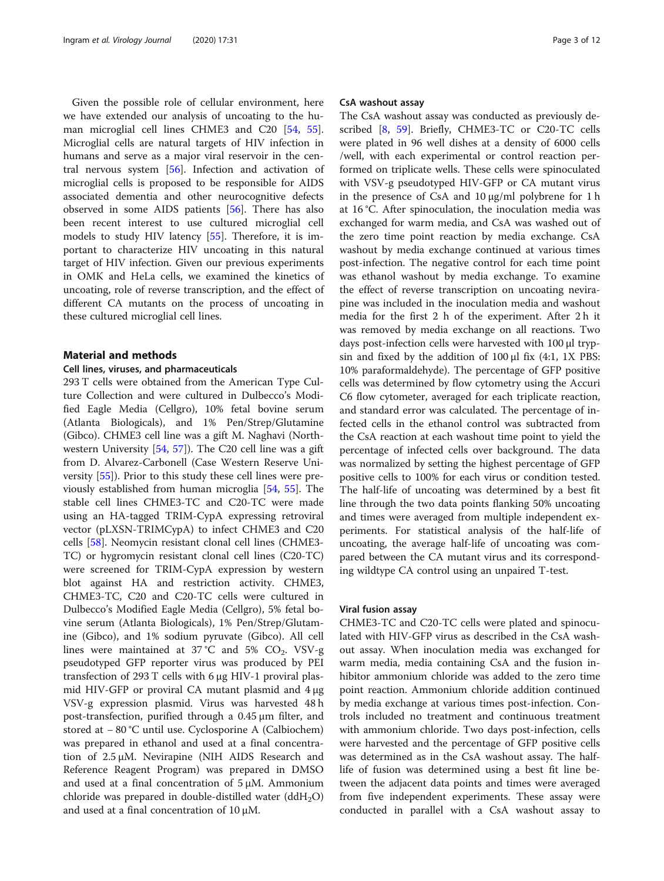Given the possible role of cellular environment, here we have extended our analysis of uncoating to the human microglial cell lines CHME3 and C20 [[54](#page-11-0), [55](#page-11-0)]. Microglial cells are natural targets of HIV infection in humans and serve as a major viral reservoir in the central nervous system [[56\]](#page-11-0). Infection and activation of microglial cells is proposed to be responsible for AIDS associated dementia and other neurocognitive defects observed in some AIDS patients [\[56\]](#page-11-0). There has also been recent interest to use cultured microglial cell models to study HIV latency [\[55](#page-11-0)]. Therefore, it is important to characterize HIV uncoating in this natural target of HIV infection. Given our previous experiments in OMK and HeLa cells, we examined the kinetics of uncoating, role of reverse transcription, and the effect of different CA mutants on the process of uncoating in these cultured microglial cell lines.

#### Material and methods

#### Cell lines, viruses, and pharmaceuticals

293 T cells were obtained from the American Type Culture Collection and were cultured in Dulbecco's Modified Eagle Media (Cellgro), 10% fetal bovine serum (Atlanta Biologicals), and 1% Pen/Strep/Glutamine (Gibco). CHME3 cell line was a gift M. Naghavi (Northwestern University [[54,](#page-11-0) [57\]](#page-11-0)). The C20 cell line was a gift from D. Alvarez-Carbonell (Case Western Reserve University [\[55](#page-11-0)]). Prior to this study these cell lines were previously established from human microglia [\[54](#page-11-0), [55\]](#page-11-0). The stable cell lines CHME3-TC and C20-TC were made using an HA-tagged TRIM-CypA expressing retroviral vector (pLXSN-TRIMCypA) to infect CHME3 and C20 cells [[58\]](#page-11-0). Neomycin resistant clonal cell lines (CHME3- TC) or hygromycin resistant clonal cell lines (C20-TC) were screened for TRIM-CypA expression by western blot against HA and restriction activity. CHME3, CHME3-TC, C20 and C20-TC cells were cultured in Dulbecco's Modified Eagle Media (Cellgro), 5% fetal bovine serum (Atlanta Biologicals), 1% Pen/Strep/Glutamine (Gibco), and 1% sodium pyruvate (Gibco). All cell lines were maintained at  $37^{\circ}$ C and  $5\%$  CO<sub>2</sub>. VSV-g pseudotyped GFP reporter virus was produced by PEI transfection of 293 T cells with 6 μg HIV-1 proviral plasmid HIV-GFP or proviral CA mutant plasmid and 4 μg VSV-g expression plasmid. Virus was harvested 48 h post-transfection, purified through a 0.45 μm filter, and stored at − 80 °C until use. Cyclosporine A (Calbiochem) was prepared in ethanol and used at a final concentration of 2.5 μM. Nevirapine (NIH AIDS Research and Reference Reagent Program) was prepared in DMSO and used at a final concentration of  $5 \mu M$ . Ammonium chloride was prepared in double-distilled water  $(ddH_2O)$ and used at a final concentration of 10 μM.

#### CsA washout assay

The CsA washout assay was conducted as previously described [[8,](#page-10-0) [59\]](#page-11-0). Briefly, CHME3-TC or C20-TC cells were plated in 96 well dishes at a density of 6000 cells /well, with each experimental or control reaction performed on triplicate wells. These cells were spinoculated with VSV-g pseudotyped HIV-GFP or CA mutant virus in the presence of CsA and 10 μg/ml polybrene for 1 h at 16 °C. After spinoculation, the inoculation media was exchanged for warm media, and CsA was washed out of the zero time point reaction by media exchange. CsA washout by media exchange continued at various times post-infection. The negative control for each time point was ethanol washout by media exchange. To examine the effect of reverse transcription on uncoating nevirapine was included in the inoculation media and washout media for the first 2 h of the experiment. After 2 h it was removed by media exchange on all reactions. Two days post-infection cells were harvested with 100 μl trypsin and fixed by the addition of 100 μl fix (4:1, 1X PBS: 10% paraformaldehyde). The percentage of GFP positive cells was determined by flow cytometry using the Accuri C6 flow cytometer, averaged for each triplicate reaction, and standard error was calculated. The percentage of infected cells in the ethanol control was subtracted from the CsA reaction at each washout time point to yield the percentage of infected cells over background. The data was normalized by setting the highest percentage of GFP positive cells to 100% for each virus or condition tested. The half-life of uncoating was determined by a best fit line through the two data points flanking 50% uncoating and times were averaged from multiple independent experiments. For statistical analysis of the half-life of uncoating, the average half-life of uncoating was compared between the CA mutant virus and its corresponding wildtype CA control using an unpaired T-test.

#### Viral fusion assay

CHME3-TC and C20-TC cells were plated and spinoculated with HIV-GFP virus as described in the CsA washout assay. When inoculation media was exchanged for warm media, media containing CsA and the fusion inhibitor ammonium chloride was added to the zero time point reaction. Ammonium chloride addition continued by media exchange at various times post-infection. Controls included no treatment and continuous treatment with ammonium chloride. Two days post-infection, cells were harvested and the percentage of GFP positive cells was determined as in the CsA washout assay. The halflife of fusion was determined using a best fit line between the adjacent data points and times were averaged from five independent experiments. These assay were conducted in parallel with a CsA washout assay to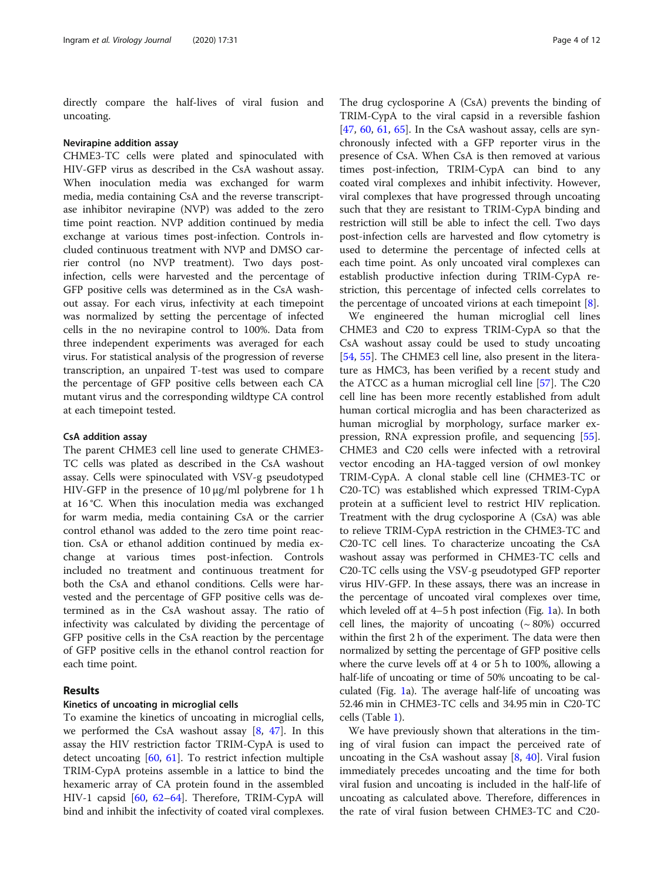directly compare the half-lives of viral fusion and uncoating.

#### Nevirapine addition assay

CHME3-TC cells were plated and spinoculated with HIV-GFP virus as described in the CsA washout assay. When inoculation media was exchanged for warm media, media containing CsA and the reverse transcriptase inhibitor nevirapine (NVP) was added to the zero time point reaction. NVP addition continued by media exchange at various times post-infection. Controls included continuous treatment with NVP and DMSO carrier control (no NVP treatment). Two days postinfection, cells were harvested and the percentage of GFP positive cells was determined as in the CsA washout assay. For each virus, infectivity at each timepoint was normalized by setting the percentage of infected cells in the no nevirapine control to 100%. Data from three independent experiments was averaged for each virus. For statistical analysis of the progression of reverse transcription, an unpaired T-test was used to compare the percentage of GFP positive cells between each CA mutant virus and the corresponding wildtype CA control at each timepoint tested.

#### CsA addition assay

The parent CHME3 cell line used to generate CHME3- TC cells was plated as described in the CsA washout assay. Cells were spinoculated with VSV-g pseudotyped HIV-GFP in the presence of 10 μg/ml polybrene for 1 h at 16 °C. When this inoculation media was exchanged for warm media, media containing CsA or the carrier control ethanol was added to the zero time point reaction. CsA or ethanol addition continued by media exchange at various times post-infection. Controls included no treatment and continuous treatment for both the CsA and ethanol conditions. Cells were harvested and the percentage of GFP positive cells was determined as in the CsA washout assay. The ratio of infectivity was calculated by dividing the percentage of GFP positive cells in the CsA reaction by the percentage of GFP positive cells in the ethanol control reaction for each time point.

#### Results

#### Kinetics of uncoating in microglial cells

To examine the kinetics of uncoating in microglial cells, we performed the CsA washout assay  $[8, 47]$  $[8, 47]$  $[8, 47]$  $[8, 47]$ . In this assay the HIV restriction factor TRIM-CypA is used to detect uncoating [\[60,](#page-11-0) [61\]](#page-11-0). To restrict infection multiple TRIM-CypA proteins assemble in a lattice to bind the hexameric array of CA protein found in the assembled HIV-1 capsid [[60](#page-11-0), [62](#page-11-0)–[64\]](#page-11-0). Therefore, TRIM-CypA will bind and inhibit the infectivity of coated viral complexes.

The drug cyclosporine A (CsA) prevents the binding of TRIM-CypA to the viral capsid in a reversible fashion  $[47, 60, 61, 65]$  $[47, 60, 61, 65]$  $[47, 60, 61, 65]$  $[47, 60, 61, 65]$  $[47, 60, 61, 65]$  $[47, 60, 61, 65]$  $[47, 60, 61, 65]$  $[47, 60, 61, 65]$ . In the CsA washout assay, cells are synchronously infected with a GFP reporter virus in the presence of CsA. When CsA is then removed at various times post-infection, TRIM-CypA can bind to any coated viral complexes and inhibit infectivity. However, viral complexes that have progressed through uncoating such that they are resistant to TRIM-CypA binding and restriction will still be able to infect the cell. Two days post-infection cells are harvested and flow cytometry is used to determine the percentage of infected cells at each time point. As only uncoated viral complexes can establish productive infection during TRIM-CypA restriction, this percentage of infected cells correlates to the percentage of uncoated virions at each timepoint [\[8](#page-10-0)].

We engineered the human microglial cell lines CHME3 and C20 to express TRIM-CypA so that the CsA washout assay could be used to study uncoating [[54,](#page-11-0) [55\]](#page-11-0). The CHME3 cell line, also present in the literature as HMC3, has been verified by a recent study and the ATCC as a human microglial cell line [\[57](#page-11-0)]. The C20 cell line has been more recently established from adult human cortical microglia and has been characterized as human microglial by morphology, surface marker expression, RNA expression profile, and sequencing [\[55](#page-11-0)]. CHME3 and C20 cells were infected with a retroviral vector encoding an HA-tagged version of owl monkey TRIM-CypA. A clonal stable cell line (CHME3-TC or C20-TC) was established which expressed TRIM-CypA protein at a sufficient level to restrict HIV replication. Treatment with the drug cyclosporine A (CsA) was able to relieve TRIM-CypA restriction in the CHME3-TC and C20-TC cell lines. To characterize uncoating the CsA washout assay was performed in CHME3-TC cells and C20-TC cells using the VSV-g pseudotyped GFP reporter virus HIV-GFP. In these assays, there was an increase in the percentage of uncoated viral complexes over time, which leveled off at 4–5 h post infection (Fig. [1a](#page-4-0)). In both cell lines, the majority of uncoating  $({\sim 80\%)}$  occurred within the first 2 h of the experiment. The data were then normalized by setting the percentage of GFP positive cells where the curve levels off at 4 or 5 h to 100%, allowing a half-life of uncoating or time of 50% uncoating to be calculated (Fig. [1](#page-4-0)a). The average half-life of uncoating was 52.46 min in CHME3-TC cells and 34.95 min in C20-TC cells (Table [1\)](#page-4-0).

We have previously shown that alterations in the timing of viral fusion can impact the perceived rate of uncoating in the CsA washout assay  $[8, 40]$  $[8, 40]$  $[8, 40]$ . Viral fusion immediately precedes uncoating and the time for both viral fusion and uncoating is included in the half-life of uncoating as calculated above. Therefore, differences in the rate of viral fusion between CHME3-TC and C20-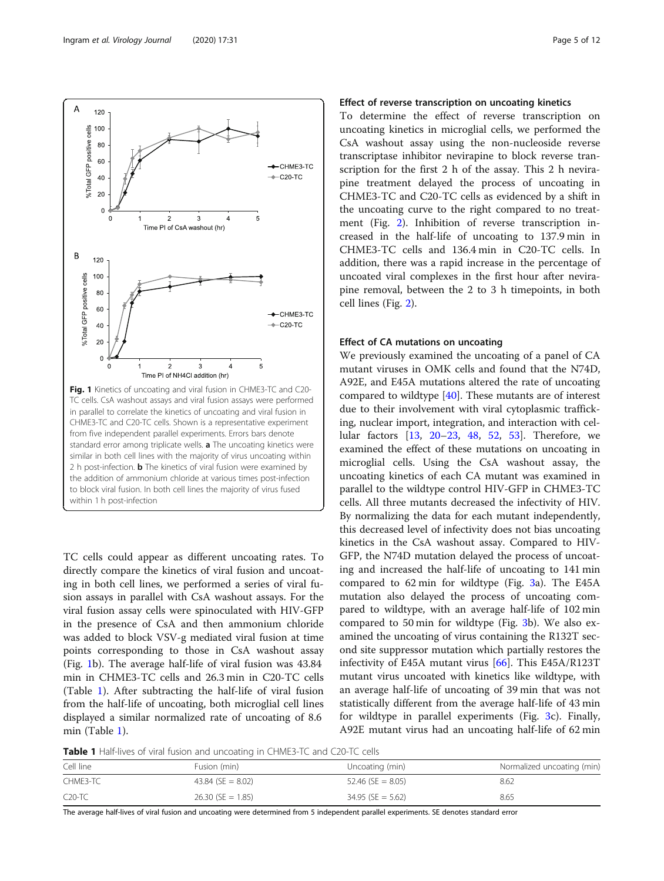TC cells could appear as different uncoating rates. To directly compare the kinetics of viral fusion and uncoating in both cell lines, we performed a series of viral fusion assays in parallel with CsA washout assays. For the viral fusion assay cells were spinoculated with HIV-GFP in the presence of CsA and then ammonium chloride was added to block VSV-g mediated viral fusion at time points corresponding to those in CsA washout assay (Fig. 1b). The average half-life of viral fusion was 43.84 min in CHME3-TC cells and 26.3 min in C20-TC cells (Table 1). After subtracting the half-life of viral fusion from the half-life of uncoating, both microglial cell lines displayed a similar normalized rate of uncoating of 8.6 min (Table 1).

#### Effect of reverse transcription on uncoating kinetics

To determine the effect of reverse transcription on uncoating kinetics in microglial cells, we performed the CsA washout assay using the non-nucleoside reverse transcriptase inhibitor nevirapine to block reverse transcription for the first 2 h of the assay. This 2 h nevirapine treatment delayed the process of uncoating in CHME3-TC and C20-TC cells as evidenced by a shift in the uncoating curve to the right compared to no treatment (Fig. [2\)](#page-5-0). Inhibition of reverse transcription increased in the half-life of uncoating to 137.9 min in CHME3-TC cells and 136.4 min in C20-TC cells. In addition, there was a rapid increase in the percentage of uncoated viral complexes in the first hour after nevirapine removal, between the 2 to 3 h timepoints, in both cell lines (Fig. [2\)](#page-5-0).

#### Effect of CA mutations on uncoating

We previously examined the uncoating of a panel of CA mutant viruses in OMK cells and found that the N74D, A92E, and E45A mutations altered the rate of uncoating compared to wildtype [[40\]](#page-11-0). These mutants are of interest due to their involvement with viral cytoplasmic trafficking, nuclear import, integration, and interaction with cellular factors [[13,](#page-10-0) [20](#page-10-0)–[23,](#page-10-0) [48](#page-11-0), [52,](#page-11-0) [53](#page-11-0)]. Therefore, we examined the effect of these mutations on uncoating in microglial cells. Using the CsA washout assay, the uncoating kinetics of each CA mutant was examined in parallel to the wildtype control HIV-GFP in CHME3-TC cells. All three mutants decreased the infectivity of HIV. By normalizing the data for each mutant independently, this decreased level of infectivity does not bias uncoating kinetics in the CsA washout assay. Compared to HIV-GFP, the N74D mutation delayed the process of uncoating and increased the half-life of uncoating to 141 min compared to 62 min for wildtype (Fig. [3](#page-5-0)a). The E45A mutation also delayed the process of uncoating compared to wildtype, with an average half-life of 102 min compared to 50 min for wildtype (Fig. [3](#page-5-0)b). We also examined the uncoating of virus containing the R132T second site suppressor mutation which partially restores the infectivity of E45A mutant virus [\[66\]](#page-11-0). This E45A/R123T mutant virus uncoated with kinetics like wildtype, with an average half-life of uncoating of 39 min that was not statistically different from the average half-life of 43 min for wildtype in parallel experiments (Fig. [3](#page-5-0)c). Finally, A92E mutant virus had an uncoating half-life of 62 min

Table 1 Half-lives of viral fusion and uncoating in CHME3-TC and C20-TC cells

| <b>Rable 1</b> Figure to you wild responsible and directating in Chilities its and CZO TC CCity |                      |                     |                            |  |  |  |  |  |  |
|-------------------------------------------------------------------------------------------------|----------------------|---------------------|----------------------------|--|--|--|--|--|--|
| Cell line                                                                                       | Fusion (min)         | Uncoating (min)     | Normalized uncoating (min) |  |  |  |  |  |  |
| CHME3-TC                                                                                        | 43.84 (SE = $8.02$ ) | $52.46$ (SE = 8.05) | 8.62                       |  |  |  |  |  |  |
| $C20-TC$                                                                                        | $26.30$ (SE = 1.85)  | $34.95$ (SE = 5.62) | 8.65                       |  |  |  |  |  |  |

The average half-lives of viral fusion and uncoating were determined from 5 independent parallel experiments. SE denotes standard error

%Total GFP positive 80 60  $\leftarrow$  CHME3-TC  $-C20-TC$  $40$  $\alpha$  $\Omega$  $\frac{1}{2}$  $\overline{3}$  $\Omega$  $\overline{A}$  $\overline{5}$ Time PI of CsA washout (hr)  $\overline{B}$  $120$ 100 %Total GFP positive cells 80 60 CHME3-TC 40  $-0.20 - TC$  $20$  $\epsilon$  $\overline{2}$ 3  $\overline{A}$ Time PI of NH4Cl addition (hr) Fig. 1 Kinetics of uncoating and viral fusion in CHME3-TC and C20-TC cells. CsA washout assays and viral fusion assays were performed in parallel to correlate the kinetics of uncoating and viral fusion in CHME3-TC and C20-TC cells. Shown is a representative experiment from five independent parallel experiments. Errors bars denote standard error among triplicate wells. **a** The uncoating kinetics were similar in both cell lines with the majority of virus uncoating within 2 h post-infection. **b** The kinetics of viral fusion were examined by the addition of ammonium chloride at various times post-infection to block viral fusion. In both cell lines the majority of virus fused within 1 h post-infection

<span id="page-4-0"></span>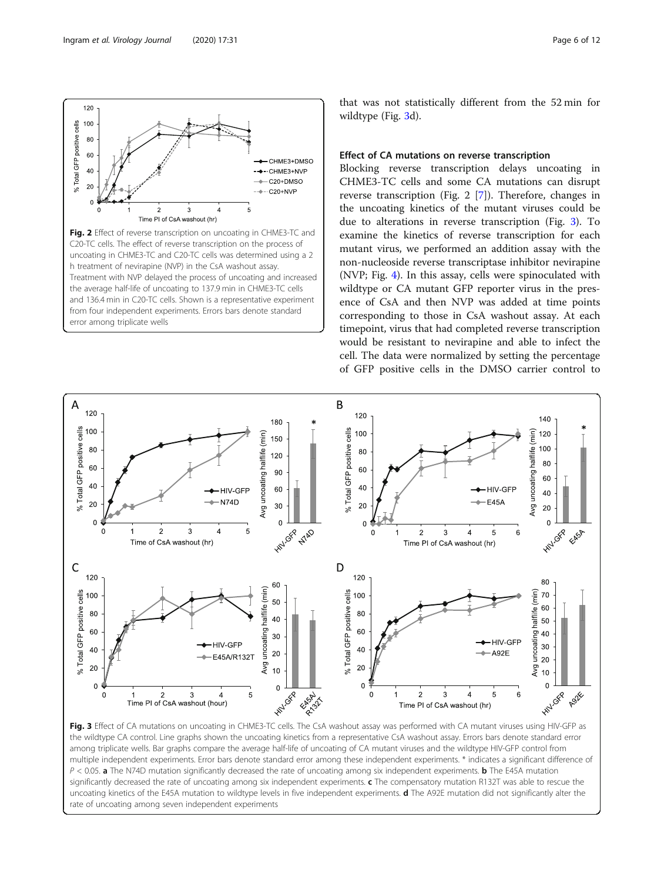

<span id="page-5-0"></span>

and 136.4 min in C20-TC cells. Shown is a representative experiment from four independent experiments. Errors bars denote standard error among triplicate wells

that was not statistically different from the 52 min for wildtype (Fig. 3d).

#### Effect of CA mutations on reverse transcription

Blocking reverse transcription delays uncoating in CHME3-TC cells and some CA mutations can disrupt reverse transcription (Fig. 2 [\[7](#page-10-0)]). Therefore, changes in the uncoating kinetics of the mutant viruses could be due to alterations in reverse transcription (Fig. 3). To examine the kinetics of reverse transcription for each mutant virus, we performed an addition assay with the non-nucleoside reverse transcriptase inhibitor nevirapine (NVP; Fig. [4](#page-6-0)). In this assay, cells were spinoculated with wildtype or CA mutant GFP reporter virus in the presence of CsA and then NVP was added at time points corresponding to those in CsA washout assay. At each timepoint, virus that had completed reverse transcription would be resistant to nevirapine and able to infect the cell. The data were normalized by setting the percentage of GFP positive cells in the DMSO carrier control to



the wildtype CA control. Line graphs shown the uncoating kinetics from a representative CsA washout assay. Errors bars denote standard error among triplicate wells. Bar graphs compare the average half-life of uncoating of CA mutant viruses and the wildtype HIV-GFP control from multiple independent experiments. Error bars denote standard error among these independent experiments. \* indicates a significant difference of  $P < 0.05$ . a The N74D mutation significantly decreased the rate of uncoating among six independent experiments. **b** The E45A mutation significantly decreased the rate of uncoating among six independent experiments.  $c$  The compensatory mutation R132T was able to rescue the uncoating kinetics of the E45A mutation to wildtype levels in five independent experiments. d The A92E mutation did not significantly alter the rate of uncoating among seven independent experiments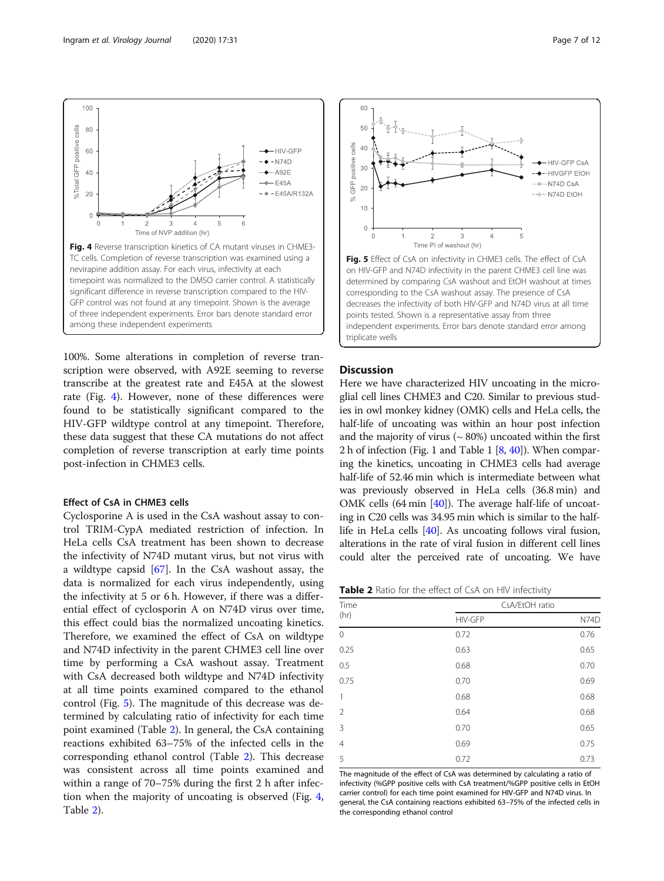<span id="page-6-0"></span>

100%. Some alterations in completion of reverse transcription were observed, with A92E seeming to reverse transcribe at the greatest rate and E45A at the slowest rate (Fig. 4). However, none of these differences were found to be statistically significant compared to the HIV-GFP wildtype control at any timepoint. Therefore, these data suggest that these CA mutations do not affect completion of reverse transcription at early time points post-infection in CHME3 cells.

#### Effect of CsA in CHME3 cells

Cyclosporine A is used in the CsA washout assay to control TRIM-CypA mediated restriction of infection. In HeLa cells CsA treatment has been shown to decrease the infectivity of N74D mutant virus, but not virus with a wildtype capsid [\[67](#page-11-0)]. In the CsA washout assay, the data is normalized for each virus independently, using the infectivity at 5 or 6 h. However, if there was a differential effect of cyclosporin A on N74D virus over time, this effect could bias the normalized uncoating kinetics. Therefore, we examined the effect of CsA on wildtype and N74D infectivity in the parent CHME3 cell line over time by performing a CsA washout assay. Treatment with CsA decreased both wildtype and N74D infectivity at all time points examined compared to the ethanol control (Fig. 5). The magnitude of this decrease was determined by calculating ratio of infectivity for each time point examined (Table 2). In general, the CsA containing reactions exhibited 63–75% of the infected cells in the corresponding ethanol control (Table 2). This decrease was consistent across all time points examined and within a range of 70–75% during the first 2 h after infection when the majority of uncoating is observed (Fig. 4, Table 2).



corresponding to the CsA washout assay. The presence of CsA decreases the infectivity of both HIV-GFP and N74D virus at all time points tested. Shown is a representative assay from three independent experiments. Error bars denote standard error among triplicate wells

#### **Discussion**

Here we have characterized HIV uncoating in the microglial cell lines CHME3 and C20. Similar to previous studies in owl monkey kidney (OMK) cells and HeLa cells, the half-life of uncoating was within an hour post infection and the majority of virus ( $\sim$  80%) uncoated within the first 2 h of infection (Fig. 1 and Table 1 [\[8](#page-10-0), [40\]](#page-11-0)). When comparing the kinetics, uncoating in CHME3 cells had average half-life of 52.46 min which is intermediate between what was previously observed in HeLa cells (36.8 min) and OMK cells (64 min [[40](#page-11-0)]). The average half-life of uncoating in C20 cells was 34.95 min which is similar to the halflife in HeLa cells [\[40\]](#page-11-0). As uncoating follows viral fusion, alterations in the rate of viral fusion in different cell lines could alter the perceived rate of uncoating. We have

|  |  |  |  |  |  |  |  |  |  | <b>Table 2</b> Ratio for the effect of CsA on HIV infectivity |
|--|--|--|--|--|--|--|--|--|--|---------------------------------------------------------------|
|--|--|--|--|--|--|--|--|--|--|---------------------------------------------------------------|

| Time           | CsA/EtOH ratio |             |  |  |
|----------------|----------------|-------------|--|--|
| (hr)           | <b>HIV-GFP</b> | <b>N74D</b> |  |  |
| $\mathbf{0}$   | 0.72           | 0.76        |  |  |
| 0.25           | 0.63           | 0.65        |  |  |
| 0.5            | 0.68           | 0.70        |  |  |
| 0.75           | 0.70           | 0.69        |  |  |
| 1              | 0.68           | 0.68        |  |  |
| $\overline{2}$ | 0.64           | 0.68        |  |  |
| $\overline{3}$ | 0.70           | 0.65        |  |  |
| $\overline{4}$ | 0.69           | 0.75        |  |  |
| 5              | 0.72           | 0.73        |  |  |

The magnitude of the effect of CsA was determined by calculating a ratio of infectivity (%GPP positive cells with CsA treatment/%GPP positive cells in EtOH carrier control) for each time point examined for HIV-GFP and N74D virus. In general, the CsA containing reactions exhibited 63–75% of the infected cells in the corresponding ethanol control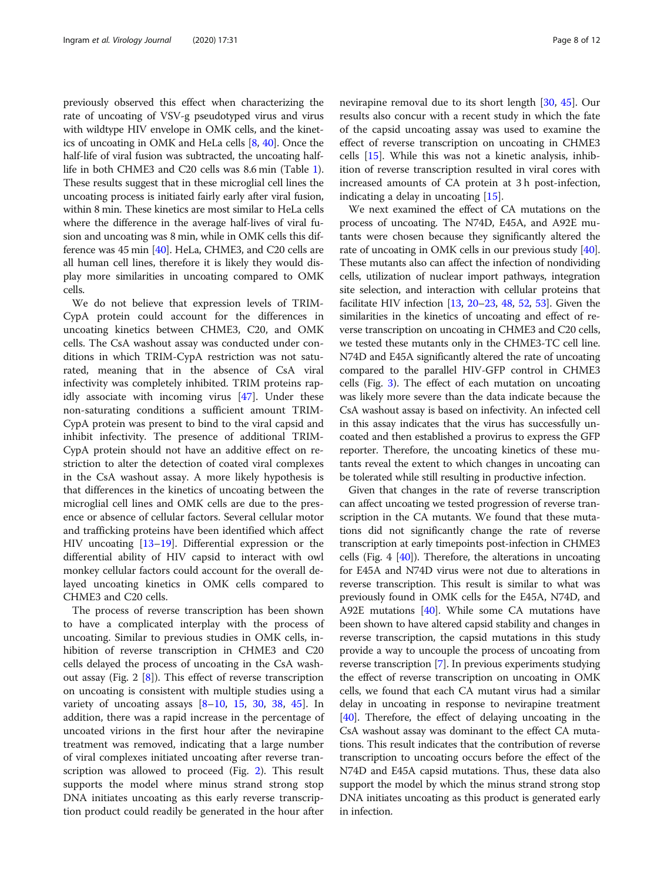previously observed this effect when characterizing the rate of uncoating of VSV-g pseudotyped virus and virus with wildtype HIV envelope in OMK cells, and the kinetics of uncoating in OMK and HeLa cells [[8,](#page-10-0) [40](#page-11-0)]. Once the half-life of viral fusion was subtracted, the uncoating halflife in both CHME3 and C20 cells was 8.6 min (Table [1](#page-4-0)). These results suggest that in these microglial cell lines the uncoating process is initiated fairly early after viral fusion, within 8 min. These kinetics are most similar to HeLa cells where the difference in the average half-lives of viral fusion and uncoating was 8 min, while in OMK cells this difference was 45 min [\[40](#page-11-0)]. HeLa, CHME3, and C20 cells are all human cell lines, therefore it is likely they would display more similarities in uncoating compared to OMK cells.

We do not believe that expression levels of TRIM-CypA protein could account for the differences in uncoating kinetics between CHME3, C20, and OMK cells. The CsA washout assay was conducted under conditions in which TRIM-CypA restriction was not saturated, meaning that in the absence of CsA viral infectivity was completely inhibited. TRIM proteins rapidly associate with incoming virus [[47](#page-11-0)]. Under these non-saturating conditions a sufficient amount TRIM-CypA protein was present to bind to the viral capsid and inhibit infectivity. The presence of additional TRIM-CypA protein should not have an additive effect on restriction to alter the detection of coated viral complexes in the CsA washout assay. A more likely hypothesis is that differences in the kinetics of uncoating between the microglial cell lines and OMK cells are due to the presence or absence of cellular factors. Several cellular motor and trafficking proteins have been identified which affect HIV uncoating [\[13](#page-10-0)–[19\]](#page-10-0). Differential expression or the differential ability of HIV capsid to interact with owl monkey cellular factors could account for the overall delayed uncoating kinetics in OMK cells compared to CHME3 and C20 cells.

The process of reverse transcription has been shown to have a complicated interplay with the process of uncoating. Similar to previous studies in OMK cells, inhibition of reverse transcription in CHME3 and C20 cells delayed the process of uncoating in the CsA washout assay (Fig. 2  $[8]$  $[8]$ ). This effect of reverse transcription on uncoating is consistent with multiple studies using a variety of uncoating assays [\[8](#page-10-0)–[10,](#page-10-0) [15](#page-10-0), [30,](#page-10-0) [38,](#page-11-0) [45](#page-11-0)]. In addition, there was a rapid increase in the percentage of uncoated virions in the first hour after the nevirapine treatment was removed, indicating that a large number of viral complexes initiated uncoating after reverse transcription was allowed to proceed (Fig. [2\)](#page-5-0). This result supports the model where minus strand strong stop DNA initiates uncoating as this early reverse transcription product could readily be generated in the hour after nevirapine removal due to its short length [[30](#page-10-0), [45](#page-11-0)]. Our results also concur with a recent study in which the fate of the capsid uncoating assay was used to examine the effect of reverse transcription on uncoating in CHME3 cells [[15\]](#page-10-0). While this was not a kinetic analysis, inhibition of reverse transcription resulted in viral cores with increased amounts of CA protein at 3 h post-infection, indicating a delay in uncoating [[15\]](#page-10-0).

We next examined the effect of CA mutations on the process of uncoating. The N74D, E45A, and A92E mutants were chosen because they significantly altered the rate of uncoating in OMK cells in our previous study [[40](#page-11-0)]. These mutants also can affect the infection of nondividing cells, utilization of nuclear import pathways, integration site selection, and interaction with cellular proteins that facilitate HIV infection [\[13,](#page-10-0) [20](#page-10-0)–[23,](#page-10-0) [48,](#page-11-0) [52,](#page-11-0) [53](#page-11-0)]. Given the similarities in the kinetics of uncoating and effect of reverse transcription on uncoating in CHME3 and C20 cells, we tested these mutants only in the CHME3-TC cell line. N74D and E45A significantly altered the rate of uncoating compared to the parallel HIV-GFP control in CHME3 cells (Fig. [3\)](#page-5-0). The effect of each mutation on uncoating was likely more severe than the data indicate because the CsA washout assay is based on infectivity. An infected cell in this assay indicates that the virus has successfully uncoated and then established a provirus to express the GFP reporter. Therefore, the uncoating kinetics of these mutants reveal the extent to which changes in uncoating can be tolerated while still resulting in productive infection.

Given that changes in the rate of reverse transcription can affect uncoating we tested progression of reverse transcription in the CA mutants. We found that these mutations did not significantly change the rate of reverse transcription at early timepoints post-infection in CHME3 cells (Fig.  $4 \overline{40}$ ). Therefore, the alterations in uncoating for E45A and N74D virus were not due to alterations in reverse transcription. This result is similar to what was previously found in OMK cells for the E45A, N74D, and A92E mutations [\[40](#page-11-0)]. While some CA mutations have been shown to have altered capsid stability and changes in reverse transcription, the capsid mutations in this study provide a way to uncouple the process of uncoating from reverse transcription [[7\]](#page-10-0). In previous experiments studying the effect of reverse transcription on uncoating in OMK cells, we found that each CA mutant virus had a similar delay in uncoating in response to nevirapine treatment [[40](#page-11-0)]. Therefore, the effect of delaying uncoating in the CsA washout assay was dominant to the effect CA mutations. This result indicates that the contribution of reverse transcription to uncoating occurs before the effect of the N74D and E45A capsid mutations. Thus, these data also support the model by which the minus strand strong stop DNA initiates uncoating as this product is generated early in infection.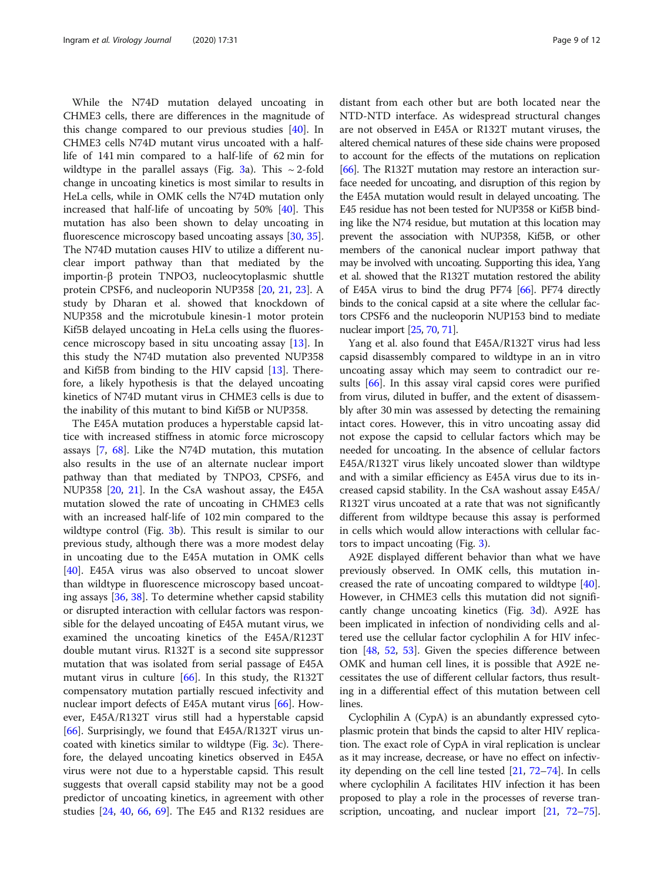While the N74D mutation delayed uncoating in CHME3 cells, there are differences in the magnitude of this change compared to our previous studies [\[40\]](#page-11-0). In CHME3 cells N74D mutant virus uncoated with a halflife of 141 min compared to a half-life of 62 min for wildtype in the parallel assays (Fig. [3a](#page-5-0)). This  $\sim$  2-fold change in uncoating kinetics is most similar to results in HeLa cells, while in OMK cells the N74D mutation only increased that half-life of uncoating by 50% [[40](#page-11-0)]. This mutation has also been shown to delay uncoating in fluorescence microscopy based uncoating assays [\[30](#page-10-0), [35](#page-10-0)]. The N74D mutation causes HIV to utilize a different nuclear import pathway than that mediated by the importin-β protein TNPO3, nucleocytoplasmic shuttle protein CPSF6, and nucleoporin NUP358 [[20](#page-10-0), [21,](#page-10-0) [23\]](#page-10-0). A study by Dharan et al. showed that knockdown of NUP358 and the microtubule kinesin-1 motor protein Kif5B delayed uncoating in HeLa cells using the fluorescence microscopy based in situ uncoating assay [[13\]](#page-10-0). In this study the N74D mutation also prevented NUP358 and Kif5B from binding to the HIV capsid [[13](#page-10-0)]. Therefore, a likely hypothesis is that the delayed uncoating kinetics of N74D mutant virus in CHME3 cells is due to the inability of this mutant to bind Kif5B or NUP358.

The E45A mutation produces a hyperstable capsid lattice with increased stiffness in atomic force microscopy assays [\[7,](#page-10-0) [68\]](#page-11-0). Like the N74D mutation, this mutation also results in the use of an alternate nuclear import pathway than that mediated by TNPO3, CPSF6, and NUP358 [[20,](#page-10-0) [21\]](#page-10-0). In the CsA washout assay, the E45A mutation slowed the rate of uncoating in CHME3 cells with an increased half-life of 102 min compared to the wildtype control (Fig. [3](#page-5-0)b). This result is similar to our previous study, although there was a more modest delay in uncoating due to the E45A mutation in OMK cells [[40\]](#page-11-0). E45A virus was also observed to uncoat slower than wildtype in fluorescence microscopy based uncoating assays [[36,](#page-11-0) [38](#page-11-0)]. To determine whether capsid stability or disrupted interaction with cellular factors was responsible for the delayed uncoating of E45A mutant virus, we examined the uncoating kinetics of the E45A/R123T double mutant virus. R132T is a second site suppressor mutation that was isolated from serial passage of E45A mutant virus in culture  $[66]$  $[66]$  $[66]$ . In this study, the R132T compensatory mutation partially rescued infectivity and nuclear import defects of E45A mutant virus [[66\]](#page-11-0). However, E45A/R132T virus still had a hyperstable capsid [[66\]](#page-11-0). Surprisingly, we found that E45A/R132T virus uncoated with kinetics similar to wildtype (Fig. [3](#page-5-0)c). Therefore, the delayed uncoating kinetics observed in E45A virus were not due to a hyperstable capsid. This result suggests that overall capsid stability may not be a good predictor of uncoating kinetics, in agreement with other studies [[24,](#page-10-0) [40,](#page-11-0) [66](#page-11-0), [69](#page-11-0)]. The E45 and R132 residues are

distant from each other but are both located near the NTD-NTD interface. As widespread structural changes are not observed in E45A or R132T mutant viruses, the altered chemical natures of these side chains were proposed to account for the effects of the mutations on replication [[66](#page-11-0)]. The R132T mutation may restore an interaction surface needed for uncoating, and disruption of this region by the E45A mutation would result in delayed uncoating. The E45 residue has not been tested for NUP358 or Kif5B binding like the N74 residue, but mutation at this location may prevent the association with NUP358, Kif5B, or other members of the canonical nuclear import pathway that may be involved with uncoating. Supporting this idea, Yang et al. showed that the R132T mutation restored the ability of E45A virus to bind the drug PF74 [[66](#page-11-0)]. PF74 directly binds to the conical capsid at a site where the cellular factors CPSF6 and the nucleoporin NUP153 bind to mediate nuclear import [[25](#page-10-0), [70](#page-11-0), [71](#page-11-0)].

Yang et al. also found that E45A/R132T virus had less capsid disassembly compared to wildtype in an in vitro uncoating assay which may seem to contradict our results [[66](#page-11-0)]. In this assay viral capsid cores were purified from virus, diluted in buffer, and the extent of disassembly after 30 min was assessed by detecting the remaining intact cores. However, this in vitro uncoating assay did not expose the capsid to cellular factors which may be needed for uncoating. In the absence of cellular factors E45A/R132T virus likely uncoated slower than wildtype and with a similar efficiency as E45A virus due to its increased capsid stability. In the CsA washout assay E45A/ R132T virus uncoated at a rate that was not significantly different from wildtype because this assay is performed in cells which would allow interactions with cellular factors to impact uncoating (Fig. [3](#page-5-0)).

A92E displayed different behavior than what we have previously observed. In OMK cells, this mutation increased the rate of uncoating compared to wildtype [\[40](#page-11-0)]. However, in CHME3 cells this mutation did not significantly change uncoating kinetics (Fig. [3d](#page-5-0)). A92E has been implicated in infection of nondividing cells and altered use the cellular factor cyclophilin A for HIV infection  $[48, 52, 53]$  $[48, 52, 53]$  $[48, 52, 53]$  $[48, 52, 53]$  $[48, 52, 53]$  $[48, 52, 53]$  $[48, 52, 53]$ . Given the species difference between OMK and human cell lines, it is possible that A92E necessitates the use of different cellular factors, thus resulting in a differential effect of this mutation between cell lines.

Cyclophilin A (CypA) is an abundantly expressed cytoplasmic protein that binds the capsid to alter HIV replication. The exact role of CypA in viral replication is unclear as it may increase, decrease, or have no effect on infectivity depending on the cell line tested [[21](#page-10-0), [72](#page-11-0)–[74](#page-11-0)]. In cells where cyclophilin A facilitates HIV infection it has been proposed to play a role in the processes of reverse transcription, uncoating, and nuclear import [\[21,](#page-10-0) [72](#page-11-0)–[75](#page-11-0)].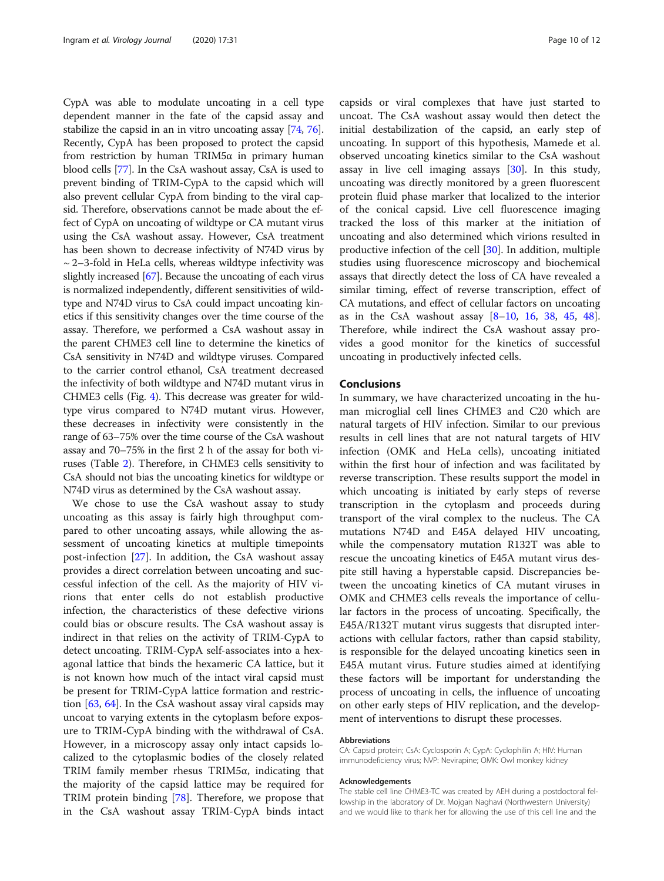CypA was able to modulate uncoating in a cell type dependent manner in the fate of the capsid assay and stabilize the capsid in an in vitro uncoating assay [[74,](#page-11-0) [76](#page-11-0)]. Recently, CypA has been proposed to protect the capsid from restriction by human TRIM5α in primary human blood cells [[77](#page-11-0)]. In the CsA washout assay, CsA is used to prevent binding of TRIM-CypA to the capsid which will also prevent cellular CypA from binding to the viral capsid. Therefore, observations cannot be made about the effect of CypA on uncoating of wildtype or CA mutant virus using the CsA washout assay. However, CsA treatment has been shown to decrease infectivity of N74D virus by  $\sim$  2–3-fold in HeLa cells, whereas wildtype infectivity was slightly increased [[67](#page-11-0)]. Because the uncoating of each virus is normalized independently, different sensitivities of wildtype and N74D virus to CsA could impact uncoating kinetics if this sensitivity changes over the time course of the assay. Therefore, we performed a CsA washout assay in the parent CHME3 cell line to determine the kinetics of CsA sensitivity in N74D and wildtype viruses. Compared to the carrier control ethanol, CsA treatment decreased the infectivity of both wildtype and N74D mutant virus in CHME3 cells (Fig. [4](#page-6-0)). This decrease was greater for wildtype virus compared to N74D mutant virus. However, these decreases in infectivity were consistently in the range of 63–75% over the time course of the CsA washout assay and 70–75% in the first 2 h of the assay for both viruses (Table [2](#page-6-0)). Therefore, in CHME3 cells sensitivity to CsA should not bias the uncoating kinetics for wildtype or N74D virus as determined by the CsA washout assay.

We chose to use the CsA washout assay to study uncoating as this assay is fairly high throughput compared to other uncoating assays, while allowing the assessment of uncoating kinetics at multiple timepoints post-infection [[27\]](#page-10-0). In addition, the CsA washout assay provides a direct correlation between uncoating and successful infection of the cell. As the majority of HIV virions that enter cells do not establish productive infection, the characteristics of these defective virions could bias or obscure results. The CsA washout assay is indirect in that relies on the activity of TRIM-CypA to detect uncoating. TRIM-CypA self-associates into a hexagonal lattice that binds the hexameric CA lattice, but it is not known how much of the intact viral capsid must be present for TRIM-CypA lattice formation and restriction [\[63,](#page-11-0) [64\]](#page-11-0). In the CsA washout assay viral capsids may uncoat to varying extents in the cytoplasm before exposure to TRIM-CypA binding with the withdrawal of CsA. However, in a microscopy assay only intact capsids localized to the cytoplasmic bodies of the closely related TRIM family member rhesus TRIM5α, indicating that the majority of the capsid lattice may be required for TRIM protein binding [\[78](#page-11-0)]. Therefore, we propose that in the CsA washout assay TRIM-CypA binds intact capsids or viral complexes that have just started to uncoat. The CsA washout assay would then detect the initial destabilization of the capsid, an early step of uncoating. In support of this hypothesis, Mamede et al. observed uncoating kinetics similar to the CsA washout assay in live cell imaging assays [[30\]](#page-10-0). In this study, uncoating was directly monitored by a green fluorescent protein fluid phase marker that localized to the interior of the conical capsid. Live cell fluorescence imaging tracked the loss of this marker at the initiation of uncoating and also determined which virions resulted in productive infection of the cell [\[30](#page-10-0)]. In addition, multiple studies using fluorescence microscopy and biochemical assays that directly detect the loss of CA have revealed a similar timing, effect of reverse transcription, effect of CA mutations, and effect of cellular factors on uncoating as in the CsA washout assay  $[8-10, 16, 38, 45, 48]$  $[8-10, 16, 38, 45, 48]$  $[8-10, 16, 38, 45, 48]$  $[8-10, 16, 38, 45, 48]$  $[8-10, 16, 38, 45, 48]$  $[8-10, 16, 38, 45, 48]$  $[8-10, 16, 38, 45, 48]$  $[8-10, 16, 38, 45, 48]$  $[8-10, 16, 38, 45, 48]$  $[8-10, 16, 38, 45, 48]$  $[8-10, 16, 38, 45, 48]$  $[8-10, 16, 38, 45, 48]$ . Therefore, while indirect the CsA washout assay provides a good monitor for the kinetics of successful uncoating in productively infected cells.

#### Conclusions

In summary, we have characterized uncoating in the human microglial cell lines CHME3 and C20 which are natural targets of HIV infection. Similar to our previous results in cell lines that are not natural targets of HIV infection (OMK and HeLa cells), uncoating initiated within the first hour of infection and was facilitated by reverse transcription. These results support the model in which uncoating is initiated by early steps of reverse transcription in the cytoplasm and proceeds during transport of the viral complex to the nucleus. The CA mutations N74D and E45A delayed HIV uncoating, while the compensatory mutation R132T was able to rescue the uncoating kinetics of E45A mutant virus despite still having a hyperstable capsid. Discrepancies between the uncoating kinetics of CA mutant viruses in OMK and CHME3 cells reveals the importance of cellular factors in the process of uncoating. Specifically, the E45A/R132T mutant virus suggests that disrupted interactions with cellular factors, rather than capsid stability, is responsible for the delayed uncoating kinetics seen in E45A mutant virus. Future studies aimed at identifying these factors will be important for understanding the process of uncoating in cells, the influence of uncoating on other early steps of HIV replication, and the development of interventions to disrupt these processes.

#### Abbreviations

CA: Capsid protein; CsA: Cyclosporin A; CypA: Cyclophilin A; HIV: Human immunodeficiency virus; NVP: Nevirapine; OMK: Owl monkey kidney

#### Acknowledgements

The stable cell line CHME3-TC was created by AEH during a postdoctoral fellowship in the laboratory of Dr. Mojgan Naghavi (Northwestern University) and we would like to thank her for allowing the use of this cell line and the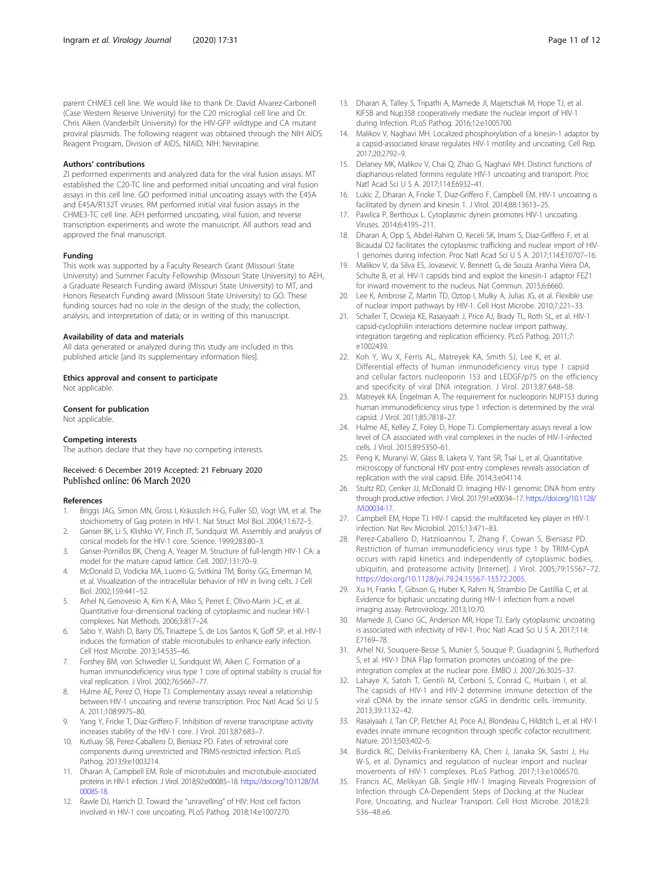<span id="page-10-0"></span>parent CHME3 cell line. We would like to thank Dr. David Alvarez-Carbonell (Case Western Reserve University) for the C20 microglial cell line and Dr. Chris Aiken (Vanderbilt University) for the HIV-GFP wildtype and CA mutant proviral plasmids. The following reagent was obtained through the NIH AIDS Reagent Program, Division of AIDS, NIAID, NIH: Nevirapine.

#### Authors' contributions

ZI performed experiments and analyzed data for the viral fusion assays. MT established the C20-TC line and performed initial uncoating and viral fusion assays in this cell line. GO performed initial uncoating assays with the E45A and E45A/R132T viruses. RM performed initial viral fusion assays in the CHME3-TC cell line. AEH performed uncoating, viral fusion, and reverse transcription experiments and wrote the manuscript. All authors read and approved the final manuscript.

#### Funding

This work was supported by a Faculty Research Grant (Missouri State University) and Summer Faculty Fellowship (Missouri State University) to AEH, a Graduate Research Funding award (Missouri State University) to MT, and Honors Research Funding award (Missouri State University) to GO. These funding sources had no role in the design of the study; the collection, analysis, and interpretation of data; or in writing of this manuscript.

#### Availability of data and materials

All data generated or analyzed during this study are included in this published article [and its supplementary information files].

#### Ethics approval and consent to participate

Not applicable.

#### Consent for publication

Not applicable.

#### Competing interests

The authors declare that they have no competing interests.

#### Received: 6 December 2019 Accepted: 21 February 2020 Published online: 06 March 2020

#### References

- 1. Briggs JAG, Simon MN, Gross I, Kräusslich H-G, Fuller SD, Vogt VM, et al. The stoichiometry of Gag protein in HIV-1. Nat Struct Mol Biol. 2004;11:672–5.
- 2. Ganser BK, Li S, Klishko VY, Finch JT, Sundquist WI. Assembly and analysis of conical models for the HIV-1 core. Science. 1999;283:80–3.
- 3. Ganser-Pornillos BK, Cheng A, Yeager M. Structure of full-length HIV-1 CA: a model for the mature capsid lattice. Cell. 2007;131:70–9.
- 4. McDonald D, Vodicka MA, Lucero G, Svitkina TM, Borisy GG, Emerman M, et al. Visualization of the intracellular behavior of HIV in living cells. J Cell Biol. 2002;159:441–52.
- 5. Arhel N, Genovesio A, Kim K-A, Miko S, Perret E, Olivo-Marin J-C, et al. Quantitative four-dimensional tracking of cytoplasmic and nuclear HIV-1 complexes. Nat Methods. 2006;3:817–24.
- Sabo Y, Walsh D, Barry DS, Tinaztepe S, de Los Santos K, Goff SP, et al. HIV-1 induces the formation of stable microtubules to enhance early infection. Cell Host Microbe. 2013;14:535–46.
- 7. Forshey BM, von Schwedler U, Sundquist WI, Aiken C. Formation of a human immunodeficiency virus type 1 core of optimal stability is crucial for viral replication. J Virol. 2002;76:5667–77.
- 8. Hulme AE, Perez O, Hope TJ. Complementary assays reveal a relationship between HIV-1 uncoating and reverse transcription. Proc Natl Acad Sci U S A. 2011;108:9975–80.
- Yang Y, Fricke T, Diaz-Griffero F. Inhibition of reverse transcriptase activity increases stability of the HIV-1 core. J Virol. 2013;87:683–7.
- 10. Kutluay SB, Perez-Caballero D, Bieniasz PD. Fates of retroviral core components during unrestricted and TRIM5-restricted infection. PLoS Pathog. 2013;9:e1003214.
- 11. Dharan A, Campbell EM. Role of microtubules and microtubule-associated proteins in HIV-1 infection. J Virol. 2018;92:e00085–18. [https://doi.org/10.1128/JVI.](https://doi.org/10.1128/JVI.00085-18) [00085-18](https://doi.org/10.1128/JVI.00085-18).
- 12. Rawle DJ, Harrich D. Toward the "unravelling" of HIV: Host cell factors involved in HIV-1 core uncoating. PLoS Pathog. 2018;14:e1007270.
- 13. Dharan A, Talley S, Tripathi A, Mamede JI, Majetschak M, Hope TJ, et al. KIF5B and Nup358 cooperatively mediate the nuclear import of HIV-1 during Infection. PLoS Pathog. 2016;12:e1005700.
- 14. Malikov V, Naghavi MH. Localized phosphorylation of a kinesin-1 adaptor by a capsid-associated kinase regulates HIV-1 motility and uncoating. Cell Rep. 2017;20:2792–9.
- 15. Delaney MK, Malikov V, Chai Q, Zhao G, Naghavi MH. Distinct functions of diaphanous-related formins regulate HIV-1 uncoating and transport. Proc Natl Acad Sci U S A. 2017;114:E6932–41.
- 16. Lukic Z, Dharan A, Fricke T, Diaz-Griffero F, Campbell EM. HIV-1 uncoating is facilitated by dynein and kinesin 1. J Virol. 2014;88:13613–25.
- 17. Pawlica P, Berthoux L. Cytoplasmic dynein promotes HIV-1 uncoating. Viruses. 2014;6:4195–211.
- 18. Dharan A, Opp S, Abdel-Rahim O, Keceli SK, Imam S, Diaz-Griffero F, et al. Bicaudal D2 facilitates the cytoplasmic trafficking and nuclear import of HIV-1 genomes during infection. Proc Natl Acad Sci U S A. 2017;114:E10707–16.
- 19. Malikov V, da Silva ES, Jovasevic V, Bennett G, de Souza Aranha Vieira DA, Schulte B, et al. HIV-1 capsids bind and exploit the kinesin-1 adaptor FEZ1 for inward movement to the nucleus. Nat Commun. 2015;6:6660.
- 20. Lee K, Ambrose Z, Martin TD, Oztop I, Mulky A, Julias JG, et al. Flexible use of nuclear import pathways by HIV-1. Cell Host Microbe. 2010;7:221–33.
- 21. Schaller T, Ocwieja KE, Rasaiyaah J, Price AJ, Brady TL, Roth SL, et al. HIV-1 capsid-cyclophilin interactions determine nuclear import pathway, integration targeting and replication efficiency. PLoS Pathog. 2011;7: e1002439.
- 22. Koh Y, Wu X, Ferris AL, Matreyek KA, Smith SJ, Lee K, et al. Differential effects of human immunodeficiency virus type 1 capsid and cellular factors nucleoporin 153 and LEDGF/p75 on the efficiency and specificity of viral DNA integration. J Virol. 2013;87:648–58.
- 23. Matreyek KA, Engelman A. The requirement for nucleoporin NUP153 during human immunodeficiency virus type 1 infection is determined by the viral capsid. J Virol. 2011;85:7818–27.
- 24. Hulme AE, Kelley Z, Foley D, Hope TJ. Complementary assays reveal a low level of CA associated with viral complexes in the nuclei of HIV-1-infected cells. J Virol. 2015;89:5350–61.
- 25. Peng K, Muranyi W, Glass B, Laketa V, Yant SR, Tsai L, et al. Quantitative microscopy of functional HIV post-entry complexes reveals association of replication with the viral capsid. Elife. 2014;3:e04114.
- 26. Stultz RD, Cenker JJ, McDonald D. Imaging HIV-1 genomic DNA from entry through productive infection. J Virol. 2017;91:e00034–17. [https://doi.org/10.1128/](https://doi.org/10.1128/JVI.00034-17) [JVI.00034-17](https://doi.org/10.1128/JVI.00034-17).
- 27. Campbell EM, Hope TJ. HIV-1 capsid: the multifaceted key player in HIV-1 infection. Nat Rev Microbiol. 2015;13:471–83.
- 28. Perez-Caballero D, Hatziioannou T, Zhang F, Cowan S, Bieniasz PD. Restriction of human immunodeficiency virus type 1 by TRIM-CypA occurs with rapid kinetics and independently of cytoplasmic bodies, ubiquitin, and proteasome activity [Internet]. J Virol. 2005;79:15567–72. [https://doi.org/10.1128/jvi.79.24.15567-15572.2005.](https://doi.org/10.1128/jvi.79.24.15567-15572.2005)
- 29. Xu H, Franks T, Gibson G, Huber K, Rahm N, Strambio De Castillia C, et al. Evidence for biphasic uncoating during HIV-1 infection from a novel imaging assay. Retrovirology. 2013;10:70.
- 30. Mamede JI, Cianci GC, Anderson MR, Hope TJ. Early cytoplasmic uncoating is associated with infectivity of HIV-1. Proc Natl Acad Sci U S A. 2017;114: E7169–78.
- 31. Arhel NJ, Souquere-Besse S, Munier S, Souque P, Guadagnini S, Rutherford S, et al. HIV-1 DNA Flap formation promotes uncoating of the preintegration complex at the nuclear pore. EMBO J. 2007;26:3025–37.
- 32. Lahaye X, Satoh T, Gentili M, Cerboni S, Conrad C, Hurbain I, et al. The capsids of HIV-1 and HIV-2 determine immune detection of the viral cDNA by the innate sensor cGAS in dendritic cells. Immunity. 2013;39:1132–42.
- 33. Rasaiyaah J, Tan CP, Fletcher AJ, Price AJ, Blondeau C, Hilditch L, et al. HIV-1 evades innate immune recognition through specific cofactor recruitment. Nature. 2013;503:402–5.
- 34. Burdick RC, Delviks-Frankenberry KA, Chen J, Janaka SK, Sastri J, Hu W-S, et al. Dynamics and regulation of nuclear import and nuclear movements of HIV-1 complexes. PLoS Pathog. 2017;13:e1006570.
- 35. Francis AC, Melikyan GB. Single HIV-1 Imaging Reveals Progression of Infection through CA-Dependent Steps of Docking at the Nuclear Pore, Uncoating, and Nuclear Transport. Cell Host Microbe. 2018;23: 536–48.e6.